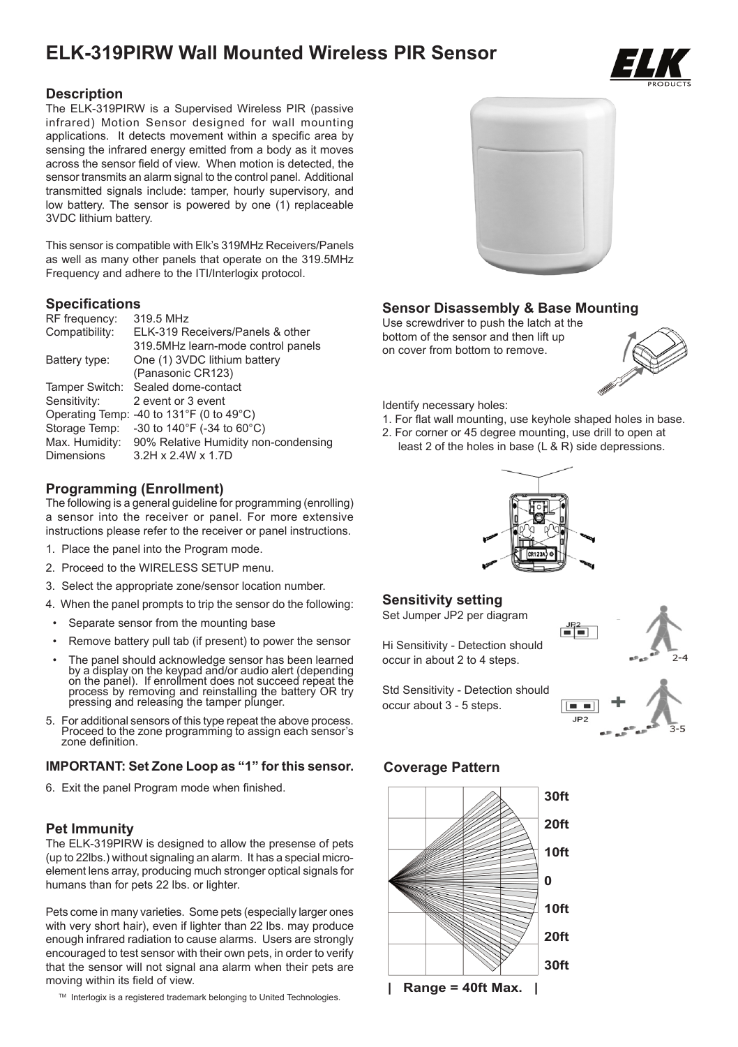# **ELK-319PIRW Wall Mounted Wireless PIR Sensor**



## **Description**

The ELK-319PIRW is a Supervised Wireless PIR (passive infrared) Motion Sensor designed for wall mounting applications. It detects movement within a specific area by sensing the infrared energy emitted from a body as it moves across the sensor field of view. When motion is detected, the sensor transmits an alarm signal to the control panel. Additional transmitted signals include: tamper, hourly supervisory, and low battery. The sensor is powered by one (1) replaceable 3VDC lithium battery.

This sensor is compatible with Elk's 319MHz Receivers/Panels as well as many other panels that operate on the 319.5MHz Frequency and adhere to the ITI/Interlogix protocol.

# **Specifications**

| RF frequency:  | 319.5 MHz                                |
|----------------|------------------------------------------|
| Compatibility: | ELK-319 Receivers/Panels & other         |
|                | 319.5MHz learn-mode control panels       |
| Battery type:  | One (1) 3VDC lithium battery             |
|                | (Panasonic CR123)                        |
| Tamper Switch: | Sealed dome-contact                      |
| Sensitivity:   | 2 event or 3 event                       |
|                | Operating Temp: -40 to 131°F (0 to 49°C) |
| Storage Temp:  | -30 to 140°F (-34 to 60°C)               |
| Max. Humidity: | 90% Relative Humidity non-condensing     |
| Dimensions     | 3.2H x 2.4W x 1.7D                       |
|                |                                          |

# **Programming (Enrollment)**

The following is a general guideline for programming (enrolling) a sensor into the receiver or panel. For more extensive instructions please refer to the receiver or panel instructions.

- 1. Place the panel into the Program mode.
- 2. Proceed to the WIRELESS SETUP menu.
- 3. Select the appropriate zone/sensor location number.
- 4. When the panel prompts to trip the sensor do the following:
- Separate sensor from the mounting base
- Remove battery pull tab (if present) to power the sensor
- The panel should acknowledge sensor has been learned by a display on the keypad and/or audio alert (depending on the panel). If enrollment does not succeed repeat the process by removing and reinstalling the battery OR try pressing and releasing the tamper plunger.
- 5. For additional sensors of this type repeat the above process. Proceed to the zone programming to assign each sensor's zone definition.

### **IMPORTANT: Set Zone Loop as "1" for this sensor.**

6. Exit the panel Program mode when finished.

### **Pet Immunity**

The ELK-319PIRW is designed to allow the presense of pets (up to 22lbs.) without signaling an alarm. It has a special microelement lens array, producing much stronger optical signals for humans than for pets 22 lbs. or lighter.

Pets come in many varieties. Some pets (especially larger ones with very short hair), even if lighter than 22 lbs. may produce enough infrared radiation to cause alarms. Users are strongly encouraged to test sensor with their own pets, in order to verify that the sensor will not signal ana alarm when their pets are moving within its field of view.

™ Interlogix is a registered trademark belonging to United Technologies.



# **Sensor Disassembly & Base Mounting**

Use screwdriver to push the latch at the bottom of the sensor and then lift up on cover from bottom to remove.



Identify necessary holes:

- 1. For flat wall mounting, use keyhole shaped holes in base.
- 2. For corner or 45 degree mounting, use drill to open at least 2 of the holes in base (L & R) side depressions.



# **Sensitivity setting**

Set Jumper JP2 per diagram

Hi Sensitivity - Detection should occur in about 2 to 4 steps.



Std Sensitivity - Detection should occur about 3 - 5 steps.



# **Coverage Pattern**